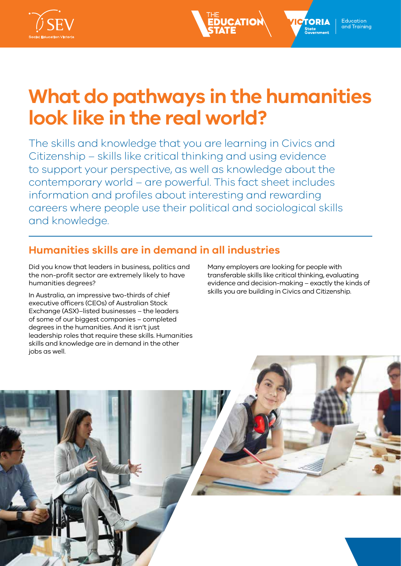

# **What do pathways in the humanities look like in the real world?**

**EDUCATIO** 

The skills and knowledge that you are learning in Civics and Citizenship – skills like critical thinking and using evidence to support your perspective, as well as knowledge about the contemporary world – are powerful. This fact sheet includes information and profiles about interesting and rewarding careers where people use their political and sociological skills and knowledge.

## **Humanities skills are in demand in all industries**

Did you know that leaders in business, politics and the non-profit sector are extremely likely to have humanities degrees?

In Australia, an impressive two-thirds of chief executive officers (CEOs) of Australian Stock Exchange (ASX)–listed businesses – the leaders of some of our biggest companies – completed degrees in the humanities. And it isn't just leadership roles that require these skills. Humanities skills and knowledge are in demand in the other jobs as well.

Many employers are looking for people with transferable skills like critical thinking, evaluating evidence and decision-making – exactly the kinds of skills you are building in Civics and Citizenship.